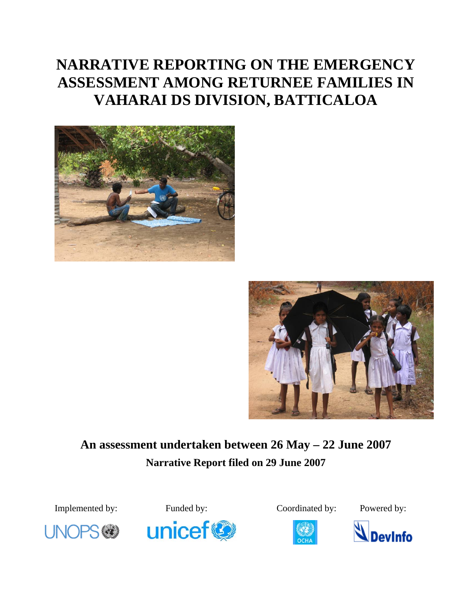# **NARRATIVE REPORTING ON THE EMERGENCY ASSESSMENT AMONG RETURNEE FAMILIES IN VAHARAI DS DIVISION, BATTICALOA**





**An assessment undertaken between 26 May – 22 June 2007 Narrative Report filed on 29 June 2007** 

Implemented by: Funded by: Funded by: Coordinated by: Powered by:





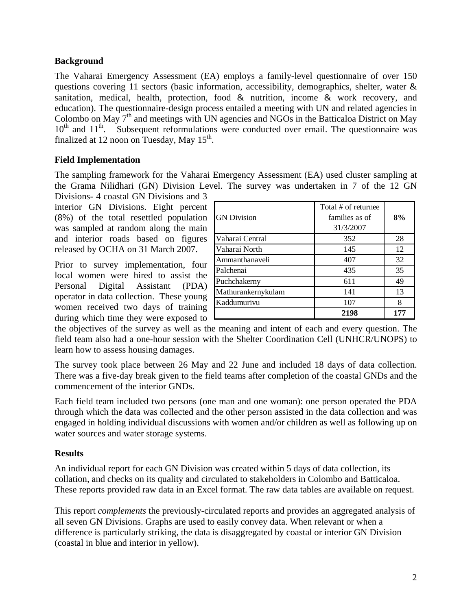# **Background**

The Vaharai Emergency Assessment (EA) employs a family-level questionnaire of over 150 questions covering 11 sectors (basic information, accessibility, demographics, shelter, water & sanitation, medical, health, protection, food & nutrition, income & work recovery, and education). The questionnaire-design process entailed a meeting with UN and related agencies in Colombo on May  $7<sup>th</sup>$  and meetings with UN agencies and NGOs in the Batticaloa District on May  $10<sup>th</sup>$  and  $11<sup>th</sup>$ . Subsequent reformulations were conducted over email. The questionnaire was finalized at 12 noon on Tuesday, May  $15^{th}$ .

# **Field Implementation**

The sampling framework for the Vaharai Emergency Assessment (EA) used cluster sampling at the Grama Nilidhari (GN) Division Level. The survey was undertaken in 7 of the 12 GN

Divisions- 4 coastal GN Divisions and 3 interior GN Divisions. Eight percent (8%) of the total resettled population was sampled at random along the main and interior roads based on figures released by OCHA on 31 March 2007.

Prior to survey implementation, four local women were hired to assist the Personal Digital Assistant (PDA) operator in data collection. These young women received two days of training during which time they were exposed to

| <b>GN</b> Division | Total # of returnee<br>families as of<br>31/3/2007 | 8%  |
|--------------------|----------------------------------------------------|-----|
| Vaharai Central    | 352                                                | 28  |
| Vaharai North      | 145                                                | 12  |
| Ammanthanaveli     | 407                                                | 32  |
| Palchenai          | 435                                                | 35  |
| Puchchakerny       | 611                                                | 49  |
| Mathurankernykulam | 141                                                | 13  |
| Kaddumurivu        | 107                                                |     |
|                    | 2198                                               | 177 |

the objectives of the survey as well as the meaning and intent of each and every question. The field team also had a one-hour session with the Shelter Coordination Cell (UNHCR/UNOPS) to learn how to assess housing damages.

The survey took place between 26 May and 22 June and included 18 days of data collection. There was a five-day break given to the field teams after completion of the coastal GNDs and the commencement of the interior GNDs.

Each field team included two persons (one man and one woman): one person operated the PDA through which the data was collected and the other person assisted in the data collection and was engaged in holding individual discussions with women and/or children as well as following up on water sources and water storage systems.

## **Results**

An individual report for each GN Division was created within 5 days of data collection, its collation, and checks on its quality and circulated to stakeholders in Colombo and Batticaloa. These reports provided raw data in an Excel format. The raw data tables are available on request.

This report *complements* the previously-circulated reports and provides an aggregated analysis of all seven GN Divisions. Graphs are used to easily convey data. When relevant or when a difference is particularly striking, the data is disaggregated by coastal or interior GN Division (coastal in blue and interior in yellow).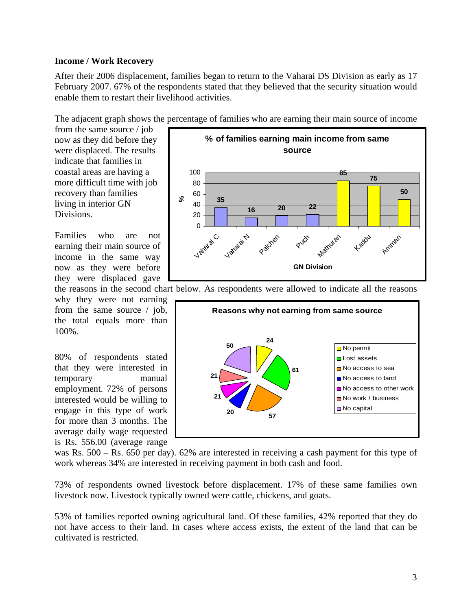## **Income / Work Recovery**

After their 2006 displacement, families began to return to the Vaharai DS Division as early as 17 February 2007. 67% of the respondents stated that they believed that the security situation would enable them to restart their livelihood activities.

The adjacent graph shows the percentage of families who are earning their main source of income

from the same source / job now as they did before they were displaced. The results indicate that families in coastal areas are having a more difficult time with job recovery than families living in interior GN Divisions.

Families who are not earning their main source of income in the same way now as they were before they were displaced gave

why they were not earning from the same source / job, the total equals more than 100%.

80% of respondents stated that they were interested in temporary manual employment. 72% of persons interested would be willing to engage in this type of work for more than 3 months. The average daily wage requested is Rs. 556.00 (average range



the reasons in the second chart below. As respondents were allowed to indicate all the reasons



was Rs. 500 – Rs. 650 per day). 62% are interested in receiving a cash payment for this type of work whereas 34% are interested in receiving payment in both cash and food.

73% of respondents owned livestock before displacement. 17% of these same families own livestock now. Livestock typically owned were cattle, chickens, and goats.

53% of families reported owning agricultural land. Of these families, 42% reported that they do not have access to their land. In cases where access exists, the extent of the land that can be cultivated is restricted.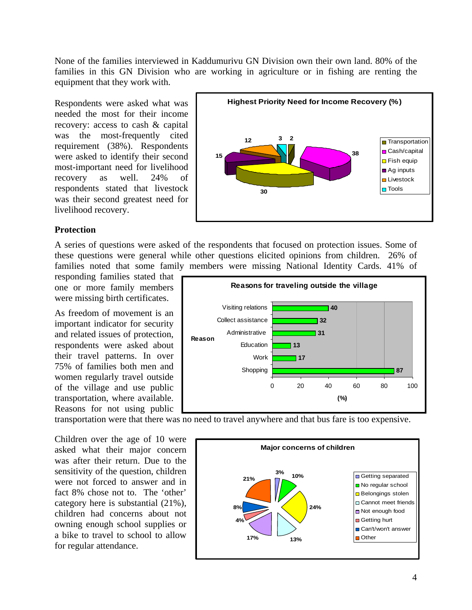None of the families interviewed in Kaddumurivu GN Division own their own land. 80% of the families in this GN Division who are working in agriculture or in fishing are renting the equipment that they work with.

Respondents were asked what was needed the most for their income recovery: access to cash & capital was the most-frequently cited requirement (38%). Respondents were asked to identify their second most-important need for livelihood recovery as well. 24% of respondents stated that livestock was their second greatest need for livelihood recovery.



## **Protection**

A series of questions were asked of the respondents that focused on protection issues. Some of these questions were general while other questions elicited opinions from children. 26% of families noted that some family members were missing National Identity Cards. 41% of

responding families stated that one or more family members were missing birth certificates.

As freedom of movement is an important indicator for security and related issues of protection, respondents were asked about their travel patterns. In over 75% of families both men and women regularly travel outside of the village and use public transportation, where available. Reasons for not using public



transportation were that there was no need to travel anywhere and that bus fare is too expensive.

Children over the age of 10 were asked what their major concern was after their return. Due to the sensitivity of the question, children were not forced to answer and in fact 8% chose not to. The 'other' category here is substantial (21%), children had concerns about not owning enough school supplies or a bike to travel to school to allow for regular attendance.

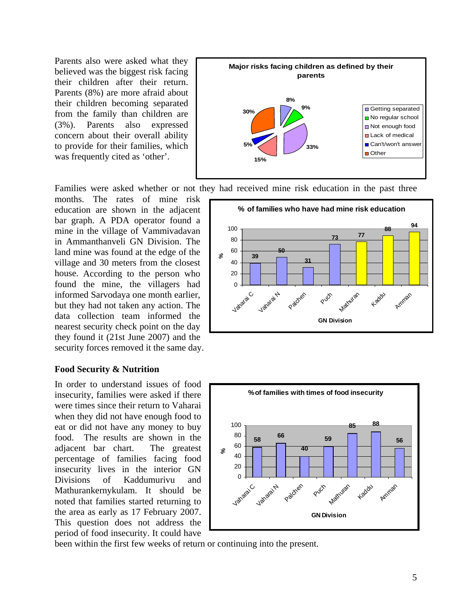Parents also were asked what they believed was the biggest risk facing their children after their return. Parents (8%) are more afraid about their children becoming separated from the family than children are (3%). Parents also expressed concern about their overall ability to provide for their families, which was frequently cited as 'other'.



Families were asked whether or not they had received mine risk education in the past three

months. The rates of mine risk education are shown in the adjacent bar graph. A PDA operator found a mine in the village of Vammivadavan in Ammanthanveli GN Division. The land mine was found at the edge of the village and 30 meters from the closest house. According to the person who found the mine, the villagers had informed Sarvodaya one month earlier, but they had not taken any action. The data collection team informed the nearest security check point on the day they found it (21st June 2007) and the security forces removed it the same day.

#### **Food Security & Nutrition**

In order to understand issues of food insecurity, families were asked if there were times since their return to Vaharai when they did not have enough food to eat or did not have any money to buy food. The results are shown in the adjacent bar chart. The greatest percentage of families facing food insecurity lives in the interior GN Divisions of Kaddumurivu and Mathurankernykulam. It should be noted that families started returning to the area as early as 17 February 2007. This question does not address the period of food insecurity. It could have

**% of families who have had mine risk education 39 50 31 73 77 <sup>88</sup> <sup>94</sup>**  $\Omega$ 20 40 60 80 100 Vaharai C Vahatai N Paldnen Puch Mathuran Kaday Amman **GN Division %**



been within the first few weeks of return or continuing into the present.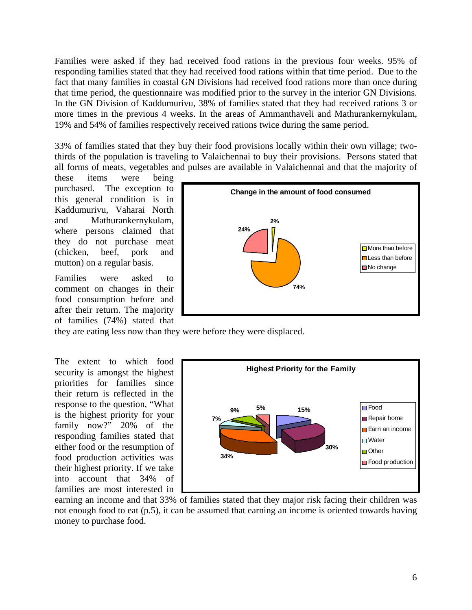Families were asked if they had received food rations in the previous four weeks. 95% of responding families stated that they had received food rations within that time period. Due to the fact that many families in coastal GN Divisions had received food rations more than once during that time period, the questionnaire was modified prior to the survey in the interior GN Divisions. In the GN Division of Kaddumurivu, 38% of families stated that they had received rations 3 or more times in the previous 4 weeks. In the areas of Ammanthaveli and Mathurankernykulam, 19% and 54% of families respectively received rations twice during the same period.

33% of families stated that they buy their food provisions locally within their own village; twothirds of the population is traveling to Valaichennai to buy their provisions. Persons stated that all forms of meats, vegetables and pulses are available in Valaichennai and that the majority of

these items were being purchased. The exception to this general condition is in Kaddumurivu, Vaharai North and Mathurankernykulam, where persons claimed that they do not purchase meat (chicken, beef, pork and mutton) on a regular basis.

Families were asked to comment on changes in their food consumption before and after their return. The majority of families (74%) stated that



they are eating less now than they were before they were displaced.

The extent to which food security is amongst the highest priorities for families since their return is reflected in the response to the question, "What is the highest priority for your family now?" 20% of the responding families stated that either food or the resumption of food production activities was their highest priority. If we take into account that 34% of families are most interested in



earning an income and that 33% of families stated that they major risk facing their children was not enough food to eat (p.5), it can be assumed that earning an income is oriented towards having money to purchase food.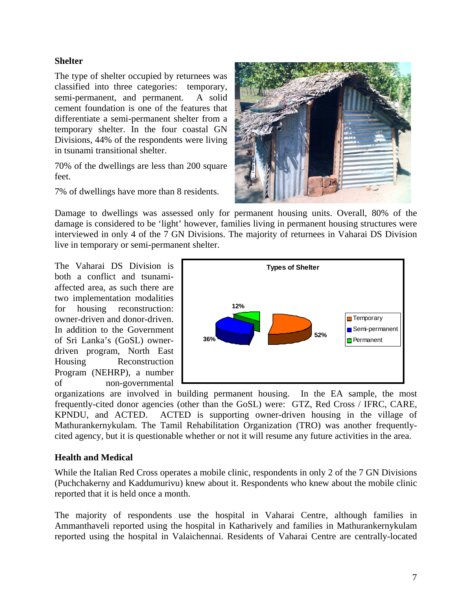## **Shelter**

The type of shelter occupied by returnees was classified into three categories: temporary, semi-permanent, and permanent. A solid cement foundation is one of the features that differentiate a semi-permanent shelter from a temporary shelter. In the four coastal GN Divisions, 44% of the respondents were living in tsunami transitional shelter.

70% of the dwellings are less than 200 square feet.

7% of dwellings have more than 8 residents.



Damage to dwellings was assessed only for permanent housing units. Overall, 80% of the damage is considered to be 'light' however, families living in permanent housing structures were interviewed in only 4 of the 7 GN Divisions. The majority of returnees in Vaharai DS Division live in temporary or semi-permanent shelter.

The Vaharai DS Division is both a conflict and tsunamiaffected area, as such there are two implementation modalities for housing reconstruction: owner-driven and donor-driven. In addition to the Government of Sri Lanka's (GoSL) ownerdriven program, North East Housing Reconstruction Program (NEHRP), a number of non-governmental



organizations are involved in building permanent housing. In the EA sample, the most frequently-cited donor agencies (other than the GoSL) were: GTZ, Red Cross / IFRC, CARE, KPNDU, and ACTED. ACTED is supporting owner-driven housing in the village of Mathurankernykulam. The Tamil Rehabilitation Organization (TRO) was another frequentlycited agency, but it is questionable whether or not it will resume any future activities in the area.

# **Health and Medical**

While the Italian Red Cross operates a mobile clinic, respondents in only 2 of the 7 GN Divisions (Puchchakerny and Kaddumurivu) knew about it. Respondents who knew about the mobile clinic reported that it is held once a month.

The majority of respondents use the hospital in Vaharai Centre, although families in Ammanthaveli reported using the hospital in Katharively and families in Mathurankernykulam reported using the hospital in Valaichennai. Residents of Vaharai Centre are centrally-located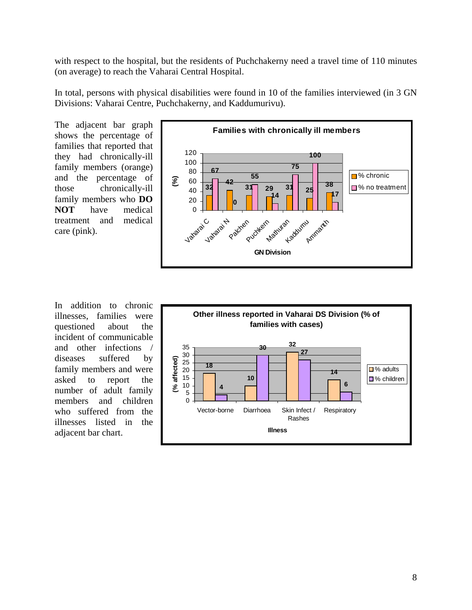with respect to the hospital, but the residents of Puchchakerny need a travel time of 110 minutes (on average) to reach the Vaharai Central Hospital.

In total, persons with physical disabilities were found in 10 of the families interviewed (in 3 GN Divisions: Vaharai Centre, Puchchakerny, and Kaddumurivu).

The adjacent bar graph shows the percentage of families that reported that they had chronically-ill family members (orange) and the percentage of those chronically-ill family members who **DO NOT** have medical treatment and medical care (pink).



In addition to chronic illnesses, families were questioned about the incident of communicable and other infections / diseases suffered by family members and were asked to report the number of adult family members and children who suffered from the illnesses listed in the adjacent bar chart.

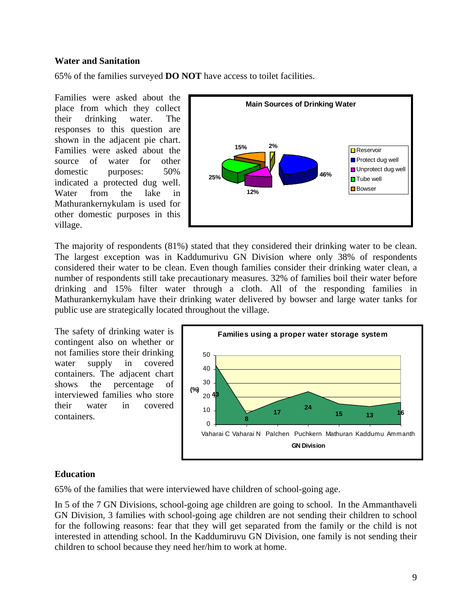### **Water and Sanitation**

65% of the families surveyed **DO NOT** have access to toilet facilities.

Families were asked about the place from which they collect their drinking water. The responses to this question are shown in the adjacent pie chart. Families were asked about the source of water for other domestic purposes: 50% indicated a protected dug well. Water from the lake in Mathurankernykulam is used for other domestic purposes in this village.



The majority of respondents (81%) stated that they considered their drinking water to be clean. The largest exception was in Kaddumurivu GN Division where only 38% of respondents considered their water to be clean. Even though families consider their drinking water clean, a number of respondents still take precautionary measures. 32% of families boil their water before drinking and 15% filter water through a cloth. All of the responding families in Mathurankernykulam have their drinking water delivered by bowser and large water tanks for public use are strategically located throughout the village.

The safety of drinking water is contingent also on whether or not families store their drinking water supply in covered containers. The adjacent chart shows the percentage of interviewed families who store their water in covered containers.



## **Education**

65% of the families that were interviewed have children of school-going age.

In 5 of the 7 GN Divisions, school-going age children are going to school. In the Ammanthaveli GN Division, 3 families with school-going age children are not sending their children to school for the following reasons: fear that they will get separated from the family or the child is not interested in attending school. In the Kaddumiruvu GN Division, one family is not sending their children to school because they need her/him to work at home.